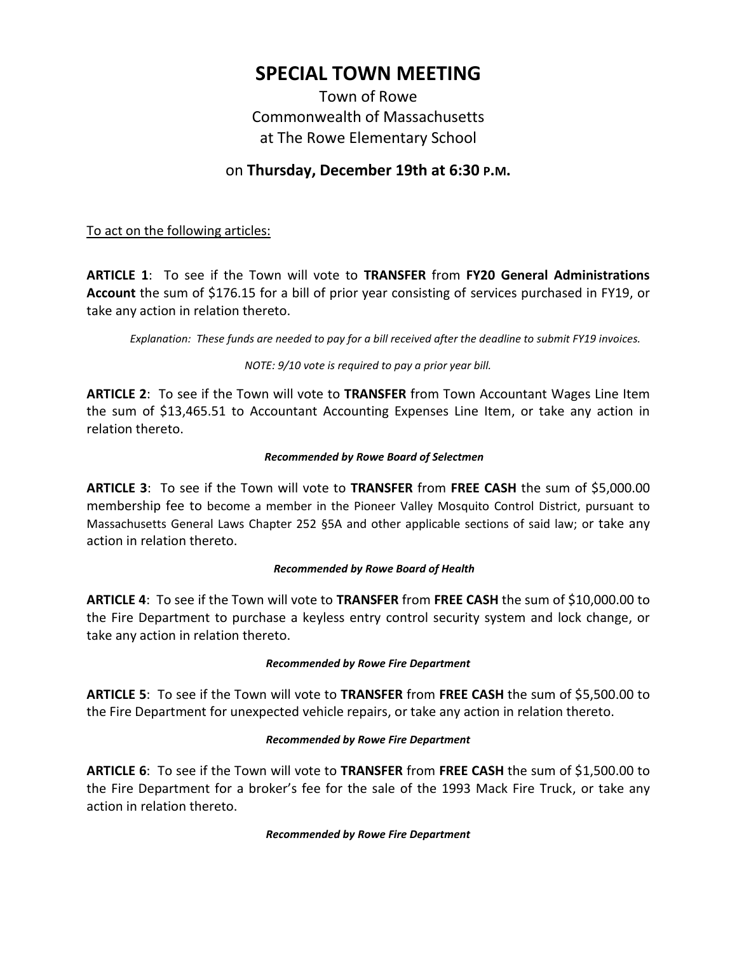# **SPECIAL TOWN MEETING**

Town of Rowe Commonwealth of Massachusetts at The Rowe Elementary School

# on **Thursday, December 19th at 6:30 P.M.**

To act on the following articles:

**ARTICLE 1**: To see if the Town will vote to **TRANSFER** from **FY20 General Administrations Account** the sum of \$176.15 for a bill of prior year consisting of services purchased in FY19, or take any action in relation thereto.

*Explanation: These funds are needed to pay for a bill received after the deadline to submit FY19 invoices.*

*NOTE: 9/10 vote is required to pay a prior year bill.*

**ARTICLE 2**: To see if the Town will vote to **TRANSFER** from Town Accountant Wages Line Item the sum of \$13,465.51 to Accountant Accounting Expenses Line Item, or take any action in relation thereto.

# *Recommended by Rowe Board of Selectmen*

**ARTICLE 3**: To see if the Town will vote to **TRANSFER** from **FREE CASH** the sum of \$5,000.00 membership fee to become a member in the Pioneer Valley Mosquito Control District, pursuant to Massachusetts General Laws Chapter 252 §5A and other applicable sections of said law; or take any action in relation thereto.

#### *Recommended by Rowe Board of Health*

**ARTICLE 4**: To see if the Town will vote to **TRANSFER** from **FREE CASH** the sum of \$10,000.00 to the Fire Department to purchase a keyless entry control security system and lock change, or take any action in relation thereto.

#### *Recommended by Rowe Fire Department*

**ARTICLE 5**: To see if the Town will vote to **TRANSFER** from **FREE CASH** the sum of \$5,500.00 to the Fire Department for unexpected vehicle repairs, or take any action in relation thereto.

#### *Recommended by Rowe Fire Department*

**ARTICLE 6**: To see if the Town will vote to **TRANSFER** from **FREE CASH** the sum of \$1,500.00 to the Fire Department for a broker's fee for the sale of the 1993 Mack Fire Truck, or take any action in relation thereto.

#### *Recommended by Rowe Fire Department*